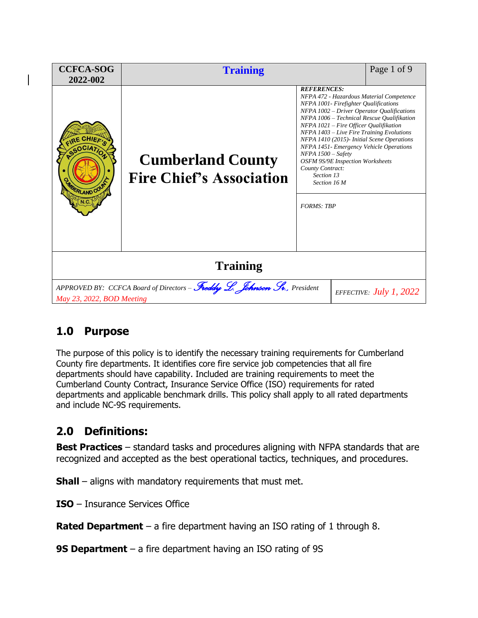| <b>CCFCA-SOG</b><br>2022-002                                                                                                       | <b>Training</b>                                             |                                                                                                                                                                                                                                                                                                                                                                                                                                                                                                                               | Page 1 of 9 |  |
|------------------------------------------------------------------------------------------------------------------------------------|-------------------------------------------------------------|-------------------------------------------------------------------------------------------------------------------------------------------------------------------------------------------------------------------------------------------------------------------------------------------------------------------------------------------------------------------------------------------------------------------------------------------------------------------------------------------------------------------------------|-------------|--|
| <b>RLAND COU</b>                                                                                                                   | <b>Cumberland County</b><br><b>Fire Chief's Association</b> | <b>REFERENCES:</b><br>NFPA 472 - Hazardous Material Competence<br>NFPA 1001- Firefighter Qualifications<br>NFPA 1002 - Driver Operator Qualifications<br>NFPA 1006 - Technical Rescue Oualifikation<br>NFPA 1021 – Fire Officer Qualifikation<br>NFPA 1403 - Live Fire Training Evolutions<br>NFPA 1410 (2015)- Initial Scene Operations<br>NFPA 1451- Emergency Vehicle Operations<br>$NFPA$ 1500 - Safety<br><b>OSFM 9S/9E Inspection Worksheets</b><br>County Contract:<br>Section 13<br>Section 16 M<br><b>FORMS: TRP</b> |             |  |
| <b>Training</b>                                                                                                                    |                                                             |                                                                                                                                                                                                                                                                                                                                                                                                                                                                                                                               |             |  |
| APPROVED BY: CCFCA Board of Directors - Freddy L. Johnson Sr., President<br>EFFECTIVE: $July 1, 2022$<br>May 23, 2022, BOD Meeting |                                                             |                                                                                                                                                                                                                                                                                                                                                                                                                                                                                                                               |             |  |

## **1.0 Purpose**

The purpose of this policy is to identify the necessary training requirements for Cumberland County fire departments. It identifies core fire service job competencies that all fire departments should have capability. Included are training requirements to meet the Cumberland County Contract, Insurance Service Office (ISO) requirements for rated departments and applicable benchmark drills. This policy shall apply to all rated departments and include NC-9S requirements.

## **2.0 Definitions:**

**Best Practices** – standard tasks and procedures aligning with NFPA standards that are recognized and accepted as the best operational tactics, techniques, and procedures.

**Shall** – aligns with mandatory requirements that must met.

**ISO** – Insurance Services Office

**Rated Department** – a fire department having an ISO rating of 1 through 8.

**9S Department** – a fire department having an ISO rating of 9S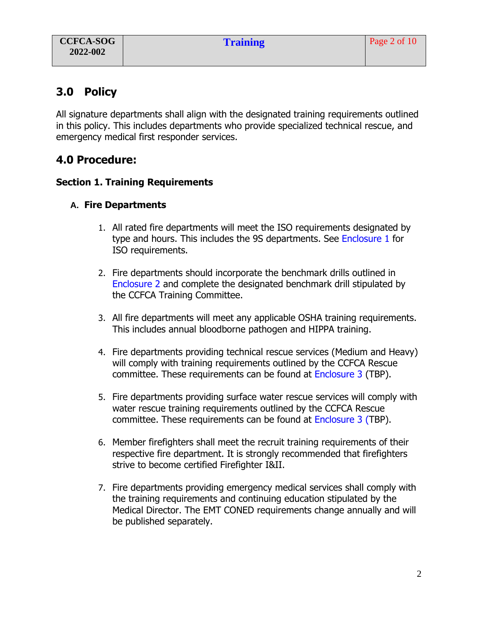## **3.0 Policy**

All signature departments shall align with the designated training requirements outlined in this policy. This includes departments who provide specialized technical rescue, and emergency medical first responder services.

## **4.0 Procedure:**

## **Section 1. Training Requirements**

## **A. Fire Departments**

- 1. All rated fire departments will meet the ISO requirements designated by type and hours. This includes the 9S departments. See Enclosure 1 for ISO requirements.
- 2. Fire departments should incorporate the benchmark drills outlined in Enclosure 2 and complete the designated benchmark drill stipulated by the CCFCA Training Committee.
- 3. All fire departments will meet any applicable OSHA training requirements. This includes annual bloodborne pathogen and HIPPA training.
- 4. Fire departments providing technical rescue services (Medium and Heavy) will comply with training requirements outlined by the CCFCA Rescue committee. These requirements can be found at Enclosure 3 (TBP).
- 5. Fire departments providing surface water rescue services will comply with water rescue training requirements outlined by the CCFCA Rescue committee. These requirements can be found at Enclosure 3 (TBP).
- 6. Member firefighters shall meet the recruit training requirements of their respective fire department. It is strongly recommended that firefighters strive to become certified Firefighter I&II.
- 7. Fire departments providing emergency medical services shall comply with the training requirements and continuing education stipulated by the Medical Director. The EMT CONED requirements change annually and will be published separately.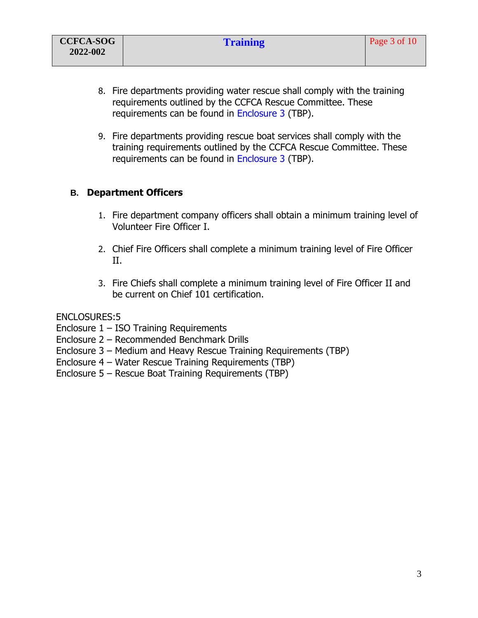- 8. Fire departments providing water rescue shall comply with the training requirements outlined by the CCFCA Rescue Committee. These requirements can be found in Enclosure 3 (TBP).
- 9. Fire departments providing rescue boat services shall comply with the training requirements outlined by the CCFCA Rescue Committee. These requirements can be found in Enclosure 3 (TBP).

## **B. Department Officers**

- 1. Fire department company officers shall obtain a minimum training level of Volunteer Fire Officer I.
- 2. Chief Fire Officers shall complete a minimum training level of Fire Officer II.
- 3. Fire Chiefs shall complete a minimum training level of Fire Officer II and be current on Chief 101 certification.

#### ENCLOSURES:5

Enclosure 1 – ISO Training Requirements

- Enclosure 2 Recommended Benchmark Drills
- Enclosure 3 Medium and Heavy Rescue Training Requirements (TBP)
- Enclosure 4 Water Rescue Training Requirements (TBP)
- Enclosure 5 Rescue Boat Training Requirements (TBP)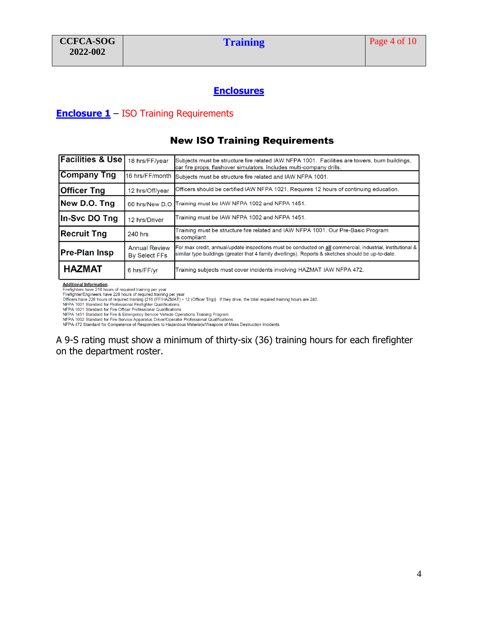### **Enclosures**

#### **Enclosure 1** – ISO Training Requirements

### **New ISO Training Requirements**

| Facilities & Use   18 hrs/FF/year |                                              | Subjects must be structure fire related IAW NFPA 1001. Facilities are towers, burn buildings,<br>car fire props, flashover simulators, Includes multi-company drills.                                            |
|-----------------------------------|----------------------------------------------|------------------------------------------------------------------------------------------------------------------------------------------------------------------------------------------------------------------|
| <b>Company Tng</b>                |                                              | 16 hrs/FF/month Subjects must be structure fire related and IAW NFPA 1001.                                                                                                                                       |
| <b>Officer Tng</b>                | 12 hrs/Off/year                              | Officers should be certified IAW NFPA 1021. Requires 12 hours of continuing education.                                                                                                                           |
| New D.O. Tng                      |                                              | 60 hrs/New D.O. Training must be IAW NFPA 1002 and NFPA 1451.                                                                                                                                                    |
| In-Svc DO Tng                     | 12 hrs/Driver                                | Training must be IAW NFPA 1002 and NFPA 1451.                                                                                                                                                                    |
| <b>Recruit Tng</b>                | 240 hrs                                      | Training must be structure fire related and IAW NFPA 1001. Our Pre-Basic Program<br>is compliant.                                                                                                                |
| <b>Pre-Plan Insp</b>              | <b>Annual Review</b><br><b>By Select FFs</b> | For max credit, annual/update inspections must be conducted on all commercial, industrial, institutional &<br>similar type buildings (greater that 4 family dwellings). Reports & sketches should be up-to-date. |
| <b>HAZMAT</b>                     | 6 hrs/FF/vr                                  | Training subjects must cover incidents involving HAZMAT IAW NFPA 472.                                                                                                                                            |

**Additional Information:** 

Express that the 216 hours of required training per year<br>Firefighters have 216 hours of required training per year<br>Officers have 228 hours of required training (216 (FF/HAZMAT) + 12 (Officer Tng)}. If they drive, the total

Omcers nave 228 nours of required training (216 (F-F/HAZMAT) + 12 (Officer 1ng)). If they drive, the total required tra<br>NFPA 1001 Standard for Professional Firefighter Qualifications<br>NFPA 1021 Standard for Fire Officer Pro

A 9-S rating must show a minimum of thirty-six (36) training hours for each firefighter on the department roster.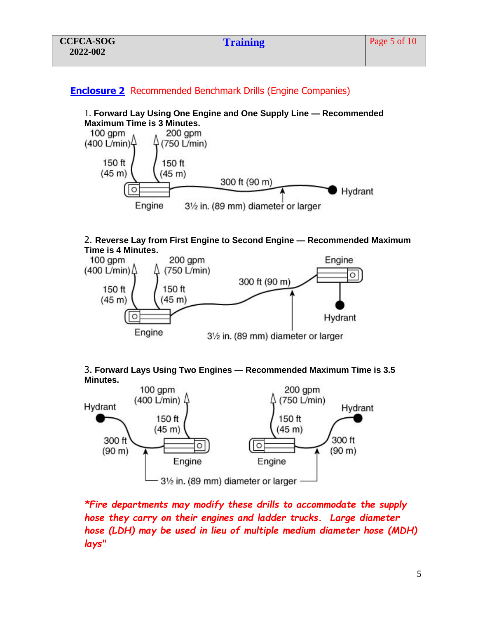### **Enclosure 2** Recommended Benchmark Drills (Engine Companies)

#### 1. **Forward Lay Using One Engine and One Supply Line — Recommended Maximum Time is 3 Minutes.**



#### 2. **Reverse Lay from First Engine to Second Engine — Recommended Maximum Time is 4 Minutes.**





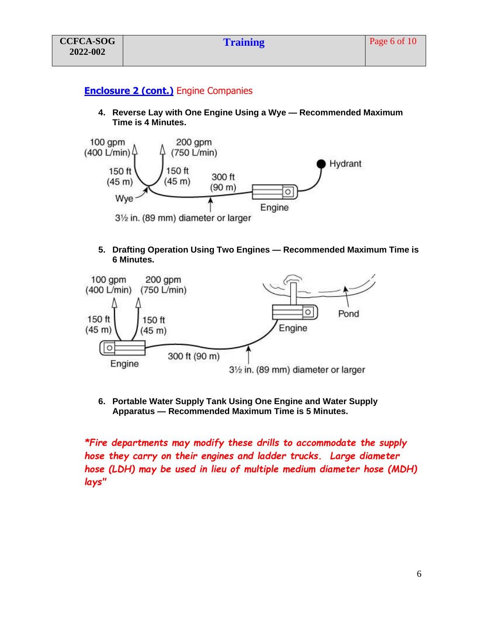## **Enclosure 2 (cont.)** Engine Companies

**4. Reverse Lay with One Engine Using a Wye — Recommended Maximum Time is 4 Minutes.**



#### **5. Drafting Operation Using Two Engines — Recommended Maximum Time is 6 Minutes.**



**6. Portable Water Supply Tank Using One Engine and Water Supply Apparatus — Recommended Maximum Time is 5 Minutes.**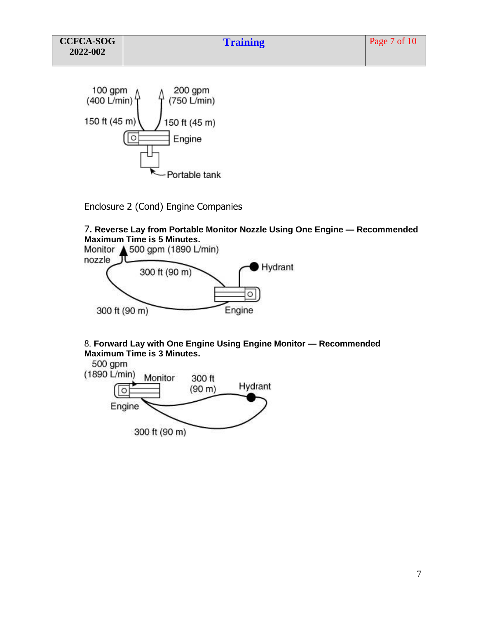

Enclosure 2 (Cond) Engine Companies

# 7. **Reverse Lay from Portable Monitor Nozzle Using One Engine — Recommended Maximum Time is 5 Minutes.**



#### 8. **Forward Lay with One Engine Using Engine Monitor — Recommended Maximum Time is 3 Minutes.**

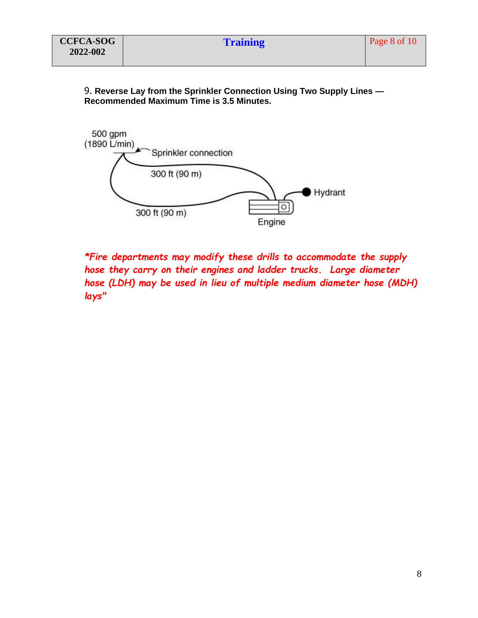9. **Reverse Lay from the Sprinkler Connection Using Two Supply Lines — Recommended Maximum Time is 3.5 Minutes.**

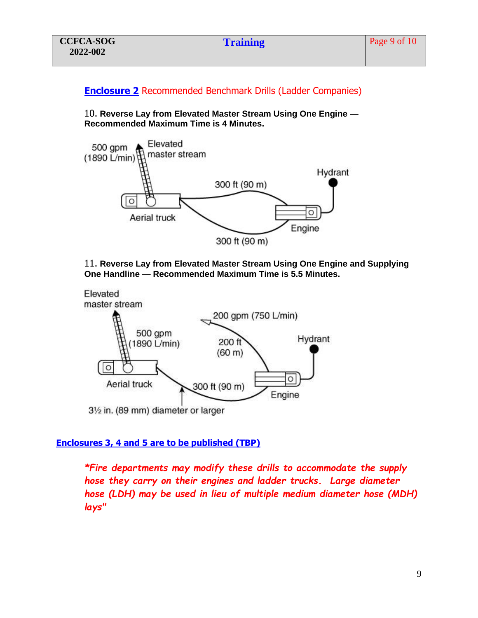## **Enclosure 2** Recommended Benchmark Drills (Ladder Companies)

10. **Reverse Lay from Elevated Master Stream Using One Engine — Recommended Maximum Time is 4 Minutes.**



11. **Reverse Lay from Elevated Master Stream Using One Engine and Supplying One Handline — Recommended Maximum Time is 5.5 Minutes.**



#### **Enclosures 3, 4 and 5 are to be published (TBP)**